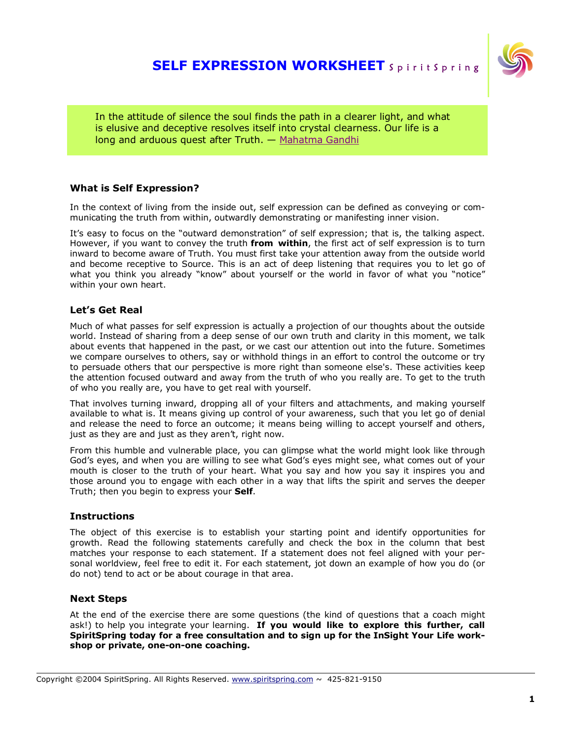### **SELF EXPRESSION WORKSHEET** SpiritSpring



In the attitude of silence the soul finds the path in a clearer light, and what is elusive and deceptive resolves itself into crystal clearness. Our life is a long and arduous quest after Truth. — Mahatma Gandhi

#### **What is Self Expression?**

In the context of living from the inside out, self expression can be defined as conveying or communicating the truth from within, outwardly demonstrating or manifesting inner vision.

It's easy to focus on the "outward demonstration" of self expression; that is, the talking aspect. However, if you want to convey the truth **from within**, the first act of self expression is to turn inward to become aware of Truth. You must first take your attention away from the outside world and become receptive to Source. This is an act of deep listening that requires you to let go of what you think you already "know" about yourself or the world in favor of what you "notice" within your own heart.

#### **Let's Get Real**

Much of what passes for self expression is actually a projection of our thoughts about the outside world. Instead of sharing from a deep sense of our own truth and clarity in this moment, we talk about events that happened in the past, or we cast our attention out into the future. Sometimes we compare ourselves to others, say or withhold things in an effort to control the outcome or try to persuade others that our perspective is more right than someone else's. These activities keep the attention focused outward and away from the truth of who you really are. To get to the truth of who you really are, you have to get real with yourself.

That involves turning inward, dropping all of your filters and attachments, and making yourself available to what is. It means giving up control of your awareness, such that you let go of denial and release the need to force an outcome; it means being willing to accept yourself and others, just as they are and just as they aren't, right now.

From this humble and vulnerable place, you can glimpse what the world might look like through God's eyes, and when you are willing to see what God's eyes might see, what comes out of your mouth is closer to the truth of your heart. What you say and how you say it inspires you and those around you to engage with each other in a way that lifts the spirit and serves the deeper Truth; then you begin to express your **Self**.

#### **Instructions**

The object of this exercise is to establish your starting point and identify opportunities for growth. Read the following statements carefully and check the box in the column that best matches your response to each statement. If a statement does not feel aligned with your personal worldview, feel free to edit it. For each statement, jot down an example of how you do (or do not) tend to act or be about courage in that area.

#### **Next Steps**

At the end of the exercise there are some questions (the kind of questions that a coach might ask!) to help you integrate your learning. **If you would like to explore this further, call SpiritSpring today for a free consultation and to sign up for the InSight Your Life workshop or private, one-on-one coaching.**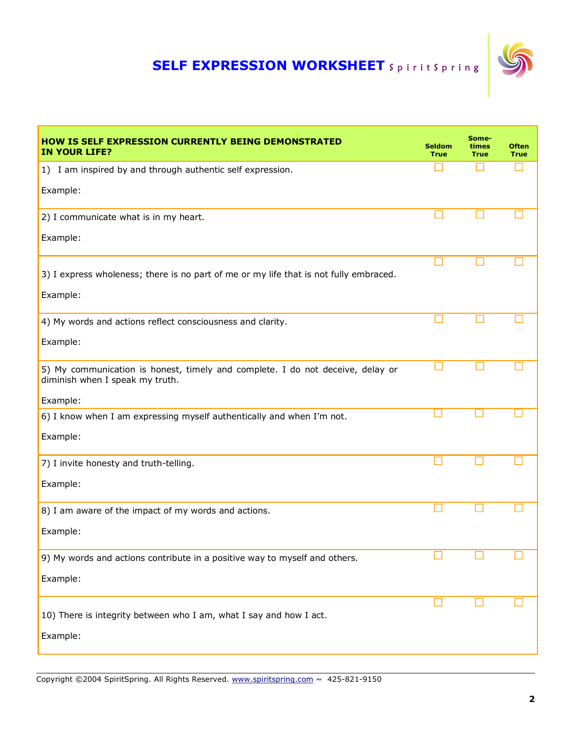# **SELF EXPRESSION WORKSHEET** SpiritSpring



| <b>HOW IS SELF EXPRESSION CURRENTLY BEING DEMONSTRATED</b><br><b>IN YOUR LIFE?</b>                                | <b>Seldom</b><br><b>True</b> | Some-<br>times<br><b>True</b> | <b>Often</b><br><b>True</b> |
|-------------------------------------------------------------------------------------------------------------------|------------------------------|-------------------------------|-----------------------------|
| 1) I am inspired by and through authentic self expression.                                                        |                              |                               |                             |
| Example:                                                                                                          |                              |                               |                             |
| 2) I communicate what is in my heart.                                                                             |                              |                               |                             |
| Example:                                                                                                          |                              |                               |                             |
| 3) I express wholeness; there is no part of me or my life that is not fully embraced.                             |                              |                               |                             |
| Example:                                                                                                          |                              |                               |                             |
| 4) My words and actions reflect consciousness and clarity.                                                        |                              |                               |                             |
| Example:                                                                                                          |                              |                               |                             |
| 5) My communication is honest, timely and complete. I do not deceive, delay or<br>diminish when I speak my truth. |                              |                               |                             |
| Example:                                                                                                          |                              |                               |                             |
| 6) I know when I am expressing myself authentically and when I'm not.                                             |                              |                               |                             |
| Example:                                                                                                          |                              |                               |                             |
| 7) I invite honesty and truth-telling.                                                                            |                              |                               |                             |
| Example:                                                                                                          |                              |                               |                             |
| 8) I am aware of the impact of my words and actions.                                                              |                              |                               |                             |
| Example:                                                                                                          |                              |                               |                             |
| 9) My words and actions contribute in a positive way to myself and others.                                        |                              |                               |                             |
| Example:                                                                                                          |                              |                               |                             |
| 10) There is integrity between who I am, what I say and how I act.                                                |                              |                               |                             |
| Example:                                                                                                          |                              |                               |                             |